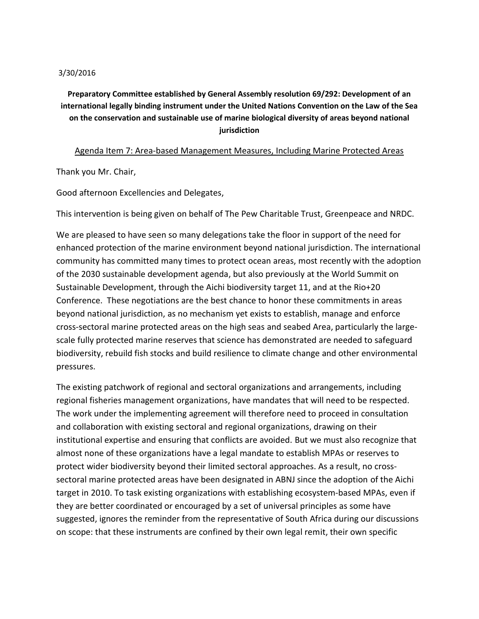## 3/30/2016

## **Preparatory Committee established by General Assembly resolution 69/292: Development of an international legally binding instrument under the United Nations Convention on the Law of the Sea on the conservation and sustainable use of marine biological diversity of areas beyond national jurisdiction**

## Agenda Item 7: Area-based Management Measures, Including Marine Protected Areas

Thank you Mr. Chair,

Good afternoon Excellencies and Delegates,

This intervention is being given on behalf of The Pew Charitable Trust, Greenpeace and NRDC.

We are pleased to have seen so many delegations take the floor in support of the need for enhanced protection of the marine environment beyond national jurisdiction. The international community has committed many times to protect ocean areas, most recently with the adoption of the 2030 sustainable development agenda, but also previously at the World Summit on Sustainable Development, through the Aichi biodiversity target 11, and at the Rio+20 Conference. These negotiations are the best chance to honor these commitments in areas beyond national jurisdiction, as no mechanism yet exists to establish, manage and enforce cross-sectoral marine protected areas on the high seas and seabed Area, particularly the largescale fully protected marine reserves that science has demonstrated are needed to safeguard biodiversity, rebuild fish stocks and build resilience to climate change and other environmental pressures.

The existing patchwork of regional and sectoral organizations and arrangements, including regional fisheries management organizations, have mandates that will need to be respected. The work under the implementing agreement will therefore need to proceed in consultation and collaboration with existing sectoral and regional organizations, drawing on their institutional expertise and ensuring that conflicts are avoided. But we must also recognize that almost none of these organizations have a legal mandate to establish MPAs or reserves to protect wider biodiversity beyond their limited sectoral approaches. As a result, no crosssectoral marine protected areas have been designated in ABNJ since the adoption of the Aichi target in 2010. To task existing organizations with establishing ecosystem-based MPAs, even if they are better coordinated or encouraged by a set of universal principles as some have suggested, ignores the reminder from the representative of South Africa during our discussions on scope: that these instruments are confined by their own legal remit, their own specific